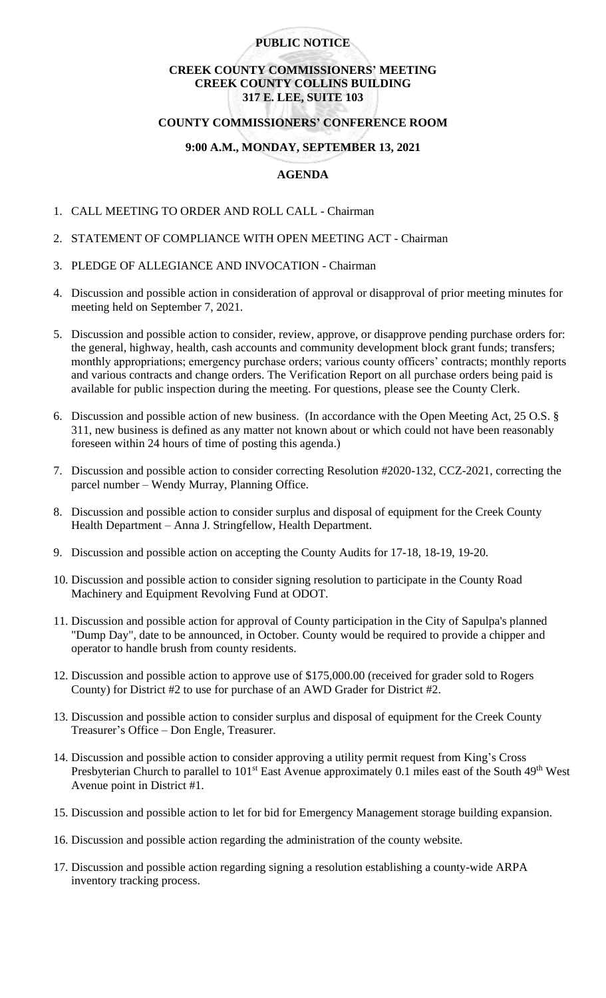## **PUBLIC NOTICE**

## **CREEK COUNTY COMMISSIONERS' MEETING CREEK COUNTY COLLINS BUILDING 317 E. LEE, SUITE 103**

### **COUNTY COMMISSIONERS' CONFERENCE ROOM**

## **9:00 A.M., MONDAY, SEPTEMBER 13, 2021**

# **AGENDA**

- 1. CALL MEETING TO ORDER AND ROLL CALL Chairman
- 2. STATEMENT OF COMPLIANCE WITH OPEN MEETING ACT Chairman
- 3. PLEDGE OF ALLEGIANCE AND INVOCATION Chairman
- 4. Discussion and possible action in consideration of approval or disapproval of prior meeting minutes for meeting held on September 7, 2021.
- 5. Discussion and possible action to consider, review, approve, or disapprove pending purchase orders for: the general, highway, health, cash accounts and community development block grant funds; transfers; monthly appropriations; emergency purchase orders; various county officers' contracts; monthly reports and various contracts and change orders. The Verification Report on all purchase orders being paid is available for public inspection during the meeting. For questions, please see the County Clerk.
- 6. Discussion and possible action of new business. (In accordance with the Open Meeting Act, 25 O.S. § 311, new business is defined as any matter not known about or which could not have been reasonably foreseen within 24 hours of time of posting this agenda.)
- 7. Discussion and possible action to consider correcting Resolution #2020-132, CCZ-2021, correcting the parcel number – Wendy Murray, Planning Office.
- 8. Discussion and possible action to consider surplus and disposal of equipment for the Creek County Health Department – Anna J. Stringfellow, Health Department.
- 9. Discussion and possible action on accepting the County Audits for 17-18, 18-19, 19-20.
- 10. Discussion and possible action to consider signing resolution to participate in the County Road Machinery and Equipment Revolving Fund at ODOT.
- 11. Discussion and possible action for approval of County participation in the City of Sapulpa's planned "Dump Day", date to be announced, in October. County would be required to provide a chipper and operator to handle brush from county residents.
- 12. Discussion and possible action to approve use of \$175,000.00 (received for grader sold to Rogers County) for District #2 to use for purchase of an AWD Grader for District #2.
- 13. Discussion and possible action to consider surplus and disposal of equipment for the Creek County Treasurer's Office – Don Engle, Treasurer.
- 14. Discussion and possible action to consider approving a utility permit request from King's Cross Presbyterian Church to parallel to 101<sup>st</sup> East Avenue approximately 0.1 miles east of the South 49<sup>th</sup> West Avenue point in District #1.
- 15. Discussion and possible action to let for bid for Emergency Management storage building expansion.
- 16. Discussion and possible action regarding the administration of the county website.
- 17. Discussion and possible action regarding signing a resolution establishing a county-wide ARPA inventory tracking process.